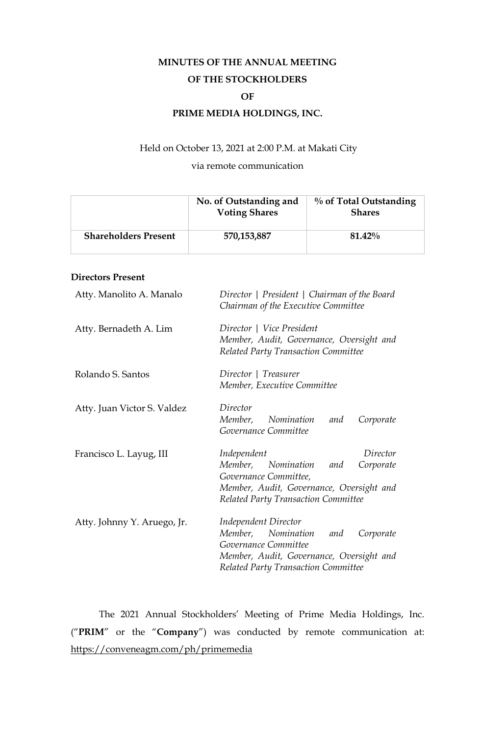# **MINUTES OF THE ANNUAL MEETING OF THE STOCKHOLDERS OF PRIME MEDIA HOLDINGS, INC.**

# Held on October 13, 2021 at 2:00 P.M. at Makati City

# via remote communication

|                             | No. of Outstanding and<br><b>Voting Shares</b> | % of Total Outstanding<br><b>Shares</b> |
|-----------------------------|------------------------------------------------|-----------------------------------------|
| <b>Shareholders Present</b> | 570,153,887                                    | 81.42%                                  |

# **Directors Present**

| Atty. Manolito A. Manalo    | Director   President   Chairman of the Board<br>Chairman of the Executive Committee                                                                                           |  |  |
|-----------------------------|-------------------------------------------------------------------------------------------------------------------------------------------------------------------------------|--|--|
| Atty. Bernadeth A. Lim      | Director   Vice President<br>Member, Audit, Governance, Oversight and<br>Related Party Transaction Committee                                                                  |  |  |
| Rolando S. Santos           | Director   Treasurer<br>Member, Executive Committee                                                                                                                           |  |  |
| Atty. Juan Victor S. Valdez | Director<br>Member, Nomination<br>Corporate<br>and<br>Governance Committee                                                                                                    |  |  |
| Francisco L. Layug, III     | Director<br>Independent<br>Member, Nomination<br>Corporate<br>and<br>Governance Committee,<br>Member, Audit, Governance, Oversight and<br>Related Party Transaction Committee |  |  |
| Atty. Johnny Y. Aruego, Jr. | Independent Director<br>Member, Nomination<br>and<br>Corporate<br>Governance Committee<br>Member, Audit, Governance, Oversight and<br>Related Party Transaction Committee     |  |  |

The 2021 Annual Stockholders' Meeting of Prime Media Holdings, Inc. ("**PRIM**" or the "**Company**") was conducted by remote communication at: https://conveneagm.com/ph/primemedia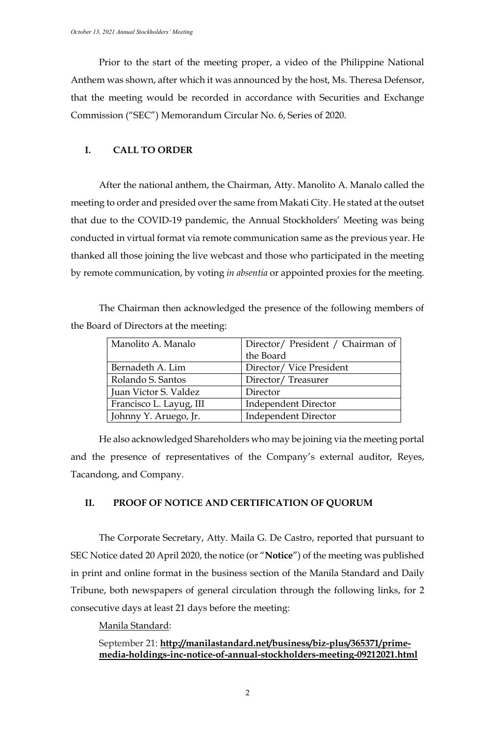Prior to the start of the meeting proper, a video of the Philippine National Anthem was shown, after which it was announced by the host, Ms. Theresa Defensor, that the meeting would be recorded in accordance with Securities and Exchange Commission ("SEC") Memorandum Circular No. 6, Series of 2020.

## **I. CALL TO ORDER**

After the national anthem, the Chairman, Atty. Manolito A. Manalo called the meeting to order and presided over the same from Makati City. He stated at the outset that due to the COVID-19 pandemic, the Annual Stockholders' Meeting was being conducted in virtual format via remote communication same as the previous year. He thanked all those joining the live webcast and those who participated in the meeting by remote communication, by voting *in absentia* or appointed proxies for the meeting.

The Chairman then acknowledged the presence of the following members of the Board of Directors at the meeting:

| Manolito A. Manalo      |                                   |
|-------------------------|-----------------------------------|
|                         | Director/ President / Chairman of |
|                         | the Board                         |
| Bernadeth A. Lim        | Director/Vice President           |
| Rolando S. Santos       | Director/Treasurer                |
| Juan Victor S. Valdez   | Director                          |
| Francisco L. Layug, III | <b>Independent Director</b>       |
| Johnny Y. Aruego, Jr.   | <b>Independent Director</b>       |

He also acknowledged Shareholders who may be joining via the meeting portal and the presence of representatives of the Company's external auditor, Reyes, Tacandong, and Company.

## **II. PROOF OF NOTICE AND CERTIFICATION OF QUORUM**

The Corporate Secretary, Atty. Maila G. De Castro, reported that pursuant to SEC Notice dated 20 April 2020, the notice (or "**Notice**") of the meeting was published in print and online format in the business section of the Manila Standard and Daily Tribune, both newspapers of general circulation through the following links, for 2 consecutive days at least 21 days before the meeting:

Manila Standard:

# September 21: **[http://manilastandard.net/business/biz-plus/365371/prime](http://manilastandard.net/business/biz-plus/365371/prime-media-holdings-inc-notice-of-annual-stockholders-meeting-09212021.html)[media-holdings-inc-notice-of-annual-stockholders-meeting-09212021.html](http://manilastandard.net/business/biz-plus/365371/prime-media-holdings-inc-notice-of-annual-stockholders-meeting-09212021.html)**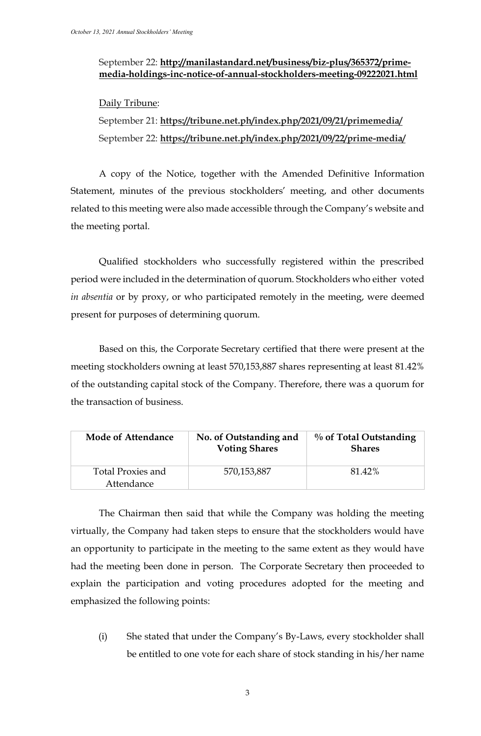# September 22: **[http://manilastandard.net/business/biz-plus/365372/prime](http://manilastandard.net/business/biz-plus/365372/prime-media-holdings-inc-notice-of-annual-stockholders-meeting-09222021.html)[media-holdings-inc-notice-of-annual-stockholders-meeting-09222021.html](http://manilastandard.net/business/biz-plus/365372/prime-media-holdings-inc-notice-of-annual-stockholders-meeting-09222021.html)**

# Daily Tribune:

September 21: **https://tribune.net.ph/index.php/2021/09/21/primemedia/** September 22: **https://tribune.net.ph/index.php/2021/09/22/prime-media/**

A copy of the Notice, together with the Amended Definitive Information Statement, minutes of the previous stockholders' meeting, and other documents related to this meeting were also made accessible through the Company's website and the meeting portal.

Qualified stockholders who successfully registered within the prescribed period were included in the determination of quorum. Stockholders who either voted *in absentia* or by proxy, or who participated remotely in the meeting, were deemed present for purposes of determining quorum.

Based on this, the Corporate Secretary certified that there were present at the meeting stockholders owning at least 570,153,887 shares representing at least 81.42% of the outstanding capital stock of the Company. Therefore, there was a quorum for the transaction of business.

| Mode of Attendance                     | No. of Outstanding and<br><b>Voting Shares</b> | $\%$ of Total Outstanding<br><b>Shares</b> |
|----------------------------------------|------------------------------------------------|--------------------------------------------|
| <b>Total Proxies and</b><br>Attendance | 570,153,887                                    | 81.42%                                     |

The Chairman then said that while the Company was holding the meeting virtually, the Company had taken steps to ensure that the stockholders would have an opportunity to participate in the meeting to the same extent as they would have had the meeting been done in person. The Corporate Secretary then proceeded to explain the participation and voting procedures adopted for the meeting and emphasized the following points:

(i) She stated that under the Company's By-Laws, every stockholder shall be entitled to one vote for each share of stock standing in his/her name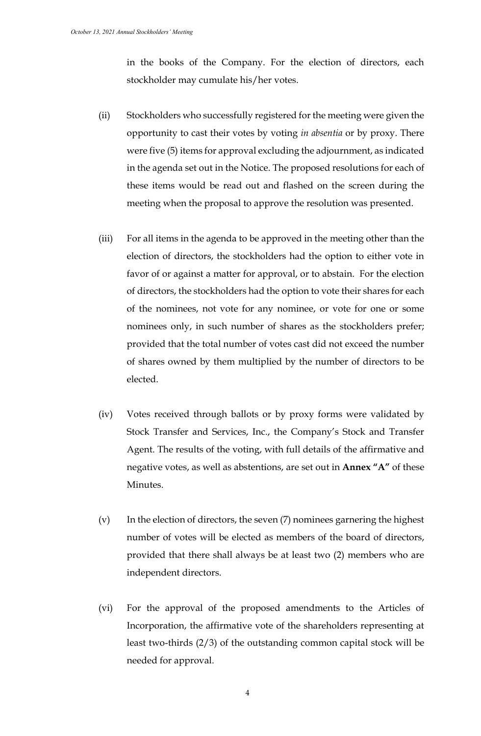in the books of the Company. For the election of directors, each stockholder may cumulate his/her votes.

- (ii) Stockholders who successfully registered for the meeting were given the opportunity to cast their votes by voting *in absentia* or by proxy. There were five (5) items for approval excluding the adjournment, as indicated in the agenda set out in the Notice. The proposed resolutions for each of these items would be read out and flashed on the screen during the meeting when the proposal to approve the resolution was presented.
- (iii) For all items in the agenda to be approved in the meeting other than the election of directors, the stockholders had the option to either vote in favor of or against a matter for approval, or to abstain. For the election of directors, the stockholders had the option to vote their shares for each of the nominees, not vote for any nominee, or vote for one or some nominees only, in such number of shares as the stockholders prefer; provided that the total number of votes cast did not exceed the number of shares owned by them multiplied by the number of directors to be elected.
- (iv) Votes received through ballots or by proxy forms were validated by Stock Transfer and Services, Inc., the Company's Stock and Transfer Agent. The results of the voting, with full details of the affirmative and negative votes, as well as abstentions, are set out in **Annex "A"** of these Minutes.
- (v) In the election of directors, the seven (7) nominees garnering the highest number of votes will be elected as members of the board of directors, provided that there shall always be at least two (2) members who are independent directors.
- (vi) For the approval of the proposed amendments to the Articles of Incorporation, the affirmative vote of the shareholders representing at least two-thirds (2/3) of the outstanding common capital stock will be needed for approval.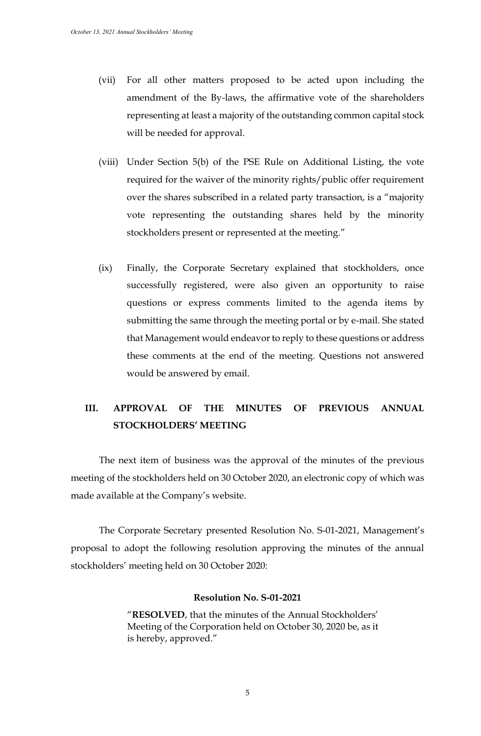- (vii) For all other matters proposed to be acted upon including the amendment of the By-laws, the affirmative vote of the shareholders representing at least a majority of the outstanding common capital stock will be needed for approval.
- (viii) Under Section 5(b) of the PSE Rule on Additional Listing, the vote required for the waiver of the minority rights/public offer requirement over the shares subscribed in a related party transaction, is a "majority vote representing the outstanding shares held by the minority stockholders present or represented at the meeting."
- (ix) Finally, the Corporate Secretary explained that stockholders, once successfully registered, were also given an opportunity to raise questions or express comments limited to the agenda items by submitting the same through the meeting portal or by e-mail. She stated that Management would endeavor to reply to these questions or address these comments at the end of the meeting. Questions not answered would be answered by email.

# **III. APPROVAL OF THE MINUTES OF PREVIOUS ANNUAL STOCKHOLDERS' MEETING**

The next item of business was the approval of the minutes of the previous meeting of the stockholders held on 30 October 2020, an electronic copy of which was made available at the Company's website.

The Corporate Secretary presented Resolution No. S-01-2021, Management's proposal to adopt the following resolution approving the minutes of the annual stockholders' meeting held on 30 October 2020:

## **Resolution No. S-01-2021**

"**RESOLVED**, that the minutes of the Annual Stockholders' Meeting of the Corporation held on October 30, 2020 be, as it is hereby, approved."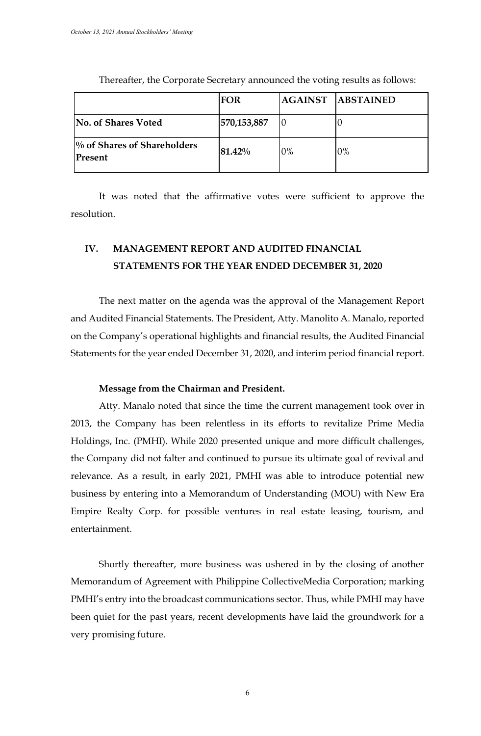|                                           | <b>FOR</b>  |            | <b>AGAINST ABSTAINED</b> |
|-------------------------------------------|-------------|------------|--------------------------|
| No. of Shares Voted                       | 570,153,887 |            | U                        |
| $\%$ of Shares of Shareholders<br>Present | 81.42%      | $\gamma\%$ | 0%                       |

Thereafter, the Corporate Secretary announced the voting results as follows:

It was noted that the affirmative votes were sufficient to approve the resolution.

# **IV. MANAGEMENT REPORT AND AUDITED FINANCIAL STATEMENTS FOR THE YEAR ENDED DECEMBER 31, 2020**

The next matter on the agenda was the approval of the Management Report and Audited Financial Statements. The President, Atty. Manolito A. Manalo, reported on the Company's operational highlights and financial results, the Audited Financial Statements for the year ended December 31, 2020, and interim period financial report.

## **Message from the Chairman and President.**

Atty. Manalo noted that since the time the current management took over in 2013, the Company has been relentless in its efforts to revitalize Prime Media Holdings, Inc. (PMHI). While 2020 presented unique and more difficult challenges, the Company did not falter and continued to pursue its ultimate goal of revival and relevance. As a result, in early 2021, PMHI was able to introduce potential new business by entering into a Memorandum of Understanding (MOU) with New Era Empire Realty Corp. for possible ventures in real estate leasing, tourism, and entertainment.

Shortly thereafter, more business was ushered in by the closing of another Memorandum of Agreement with Philippine CollectiveMedia Corporation; marking PMHI's entry into the broadcast communications sector. Thus, while PMHI may have been quiet for the past years, recent developments have laid the groundwork for a very promising future.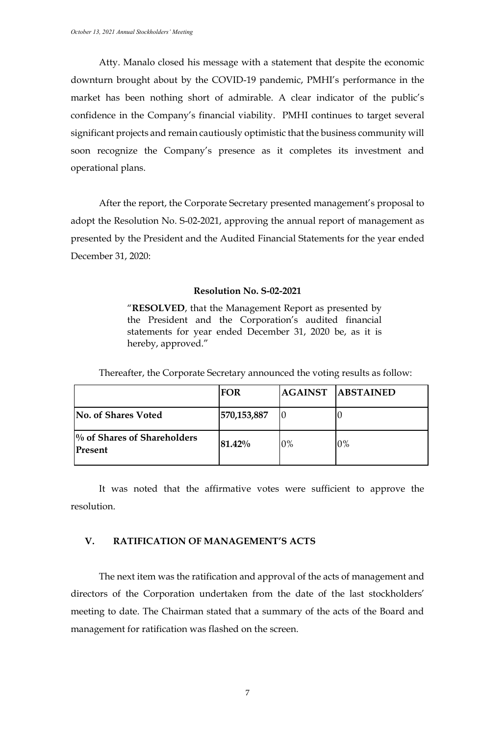Atty. Manalo closed his message with a statement that despite the economic downturn brought about by the COVID-19 pandemic, PMHI's performance in the market has been nothing short of admirable. A clear indicator of the public's confidence in the Company's financial viability. PMHI continues to target several significant projects and remain cautiously optimistic that the business community will soon recognize the Company's presence as it completes its investment and operational plans.

After the report, the Corporate Secretary presented management's proposal to adopt the Resolution No. S-02-2021, approving the annual report of management as presented by the President and the Audited Financial Statements for the year ended December 31, 2020:

#### **Resolution No. S-02-2021**

"**RESOLVED**, that the Management Report as presented by the President and the Corporation's audited financial statements for year ended December 31, 2020 be, as it is hereby, approved."

| Thereafter, the Corporate Secretary announced the voting results as follow: |
|-----------------------------------------------------------------------------|
|                                                                             |

|                                                     | <b>FOR</b>  |       | <b>AGAINST ABSTAINED</b> |
|-----------------------------------------------------|-------------|-------|--------------------------|
| No. of Shares Voted                                 | 570,153,887 | O     | U                        |
| <sup>[%</sup> of Shares of Shareholders]<br>Present | 81.42%      | $0\%$ | 0%                       |

It was noted that the affirmative votes were sufficient to approve the resolution.

## **V. RATIFICATION OF MANAGEMENT'S ACTS**

The next item was the ratification and approval of the acts of management and directors of the Corporation undertaken from the date of the last stockholders' meeting to date. The Chairman stated that a summary of the acts of the Board and management for ratification was flashed on the screen.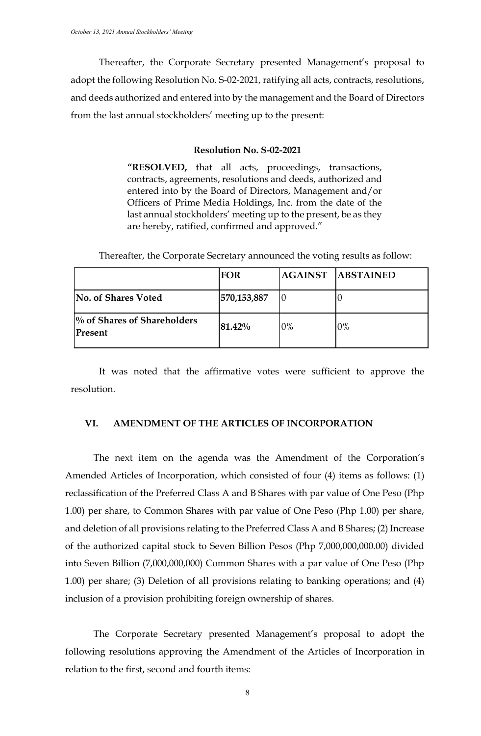Thereafter, the Corporate Secretary presented Management's proposal to adopt the following Resolution No. S-02-2021, ratifying all acts, contracts, resolutions, and deeds authorized and entered into by the management and the Board of Directors from the last annual stockholders' meeting up to the present:

#### **Resolution No. S-02-2021**

**"RESOLVED,** that all acts, proceedings, transactions, contracts, agreements, resolutions and deeds, authorized and entered into by the Board of Directors, Management and/or Officers of Prime Media Holdings, Inc. from the date of the last annual stockholders' meeting up to the present, be as they are hereby, ratified, confirmed and approved."

| Thereafter, the Corporate Secretary announced the voting results as follow: |  |  |
|-----------------------------------------------------------------------------|--|--|
|                                                                             |  |  |

|                                                    | FOR         |    | <b>AGAINST ABSTAINED</b> |
|----------------------------------------------------|-------------|----|--------------------------|
| No. of Shares Voted                                | 570,153,887 |    |                          |
| $\frac{1}{2}$ of Shares of Shareholders<br>Present | 81.42%      | 0% | 0%                       |

It was noted that the affirmative votes were sufficient to approve the resolution.

## **VI. AMENDMENT OF THE ARTICLES OF INCORPORATION**

The next item on the agenda was the Amendment of the Corporation's Amended Articles of Incorporation, which consisted of four (4) items as follows: (1) reclassification of the Preferred Class A and B Shares with par value of One Peso (Php 1.00) per share, to Common Shares with par value of One Peso (Php 1.00) per share, and deletion of all provisions relating to the Preferred Class A and B Shares; (2) Increase of the authorized capital stock to Seven Billion Pesos (Php 7,000,000,000.00) divided into Seven Billion (7,000,000,000) Common Shares with a par value of One Peso (Php 1.00) per share; (3) Deletion of all provisions relating to banking operations; and (4) inclusion of a provision prohibiting foreign ownership of shares.

The Corporate Secretary presented Management's proposal to adopt the following resolutions approving the Amendment of the Articles of Incorporation in relation to the first, second and fourth items: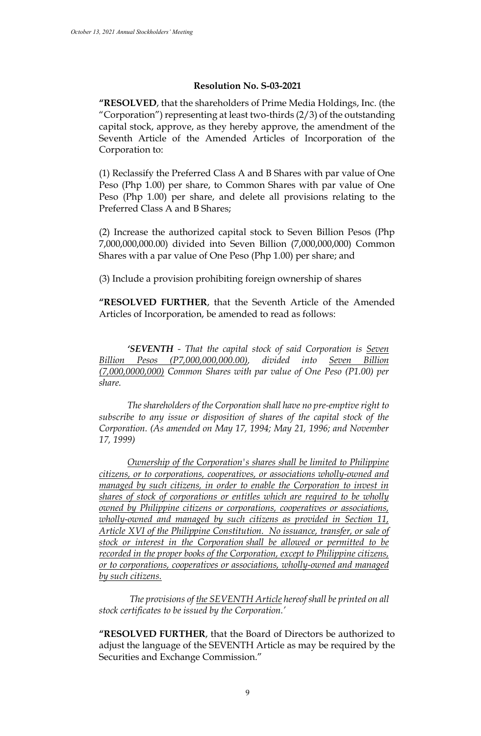# **Resolution No. S-03-2021**

**"RESOLVED**, that the shareholders of Prime Media Holdings, Inc. (the "Corporation") representing at least two-thirds (2/3) of the outstanding capital stock, approve, as they hereby approve, the amendment of the Seventh Article of the Amended Articles of Incorporation of the Corporation to:

(1) Reclassify the Preferred Class A and B Shares with par value of One Peso (Php 1.00) per share, to Common Shares with par value of One Peso (Php 1.00) per share, and delete all provisions relating to the Preferred Class A and B Shares;

(2) Increase the authorized capital stock to Seven Billion Pesos (Php 7,000,000,000.00) divided into Seven Billion (7,000,000,000) Common Shares with a par value of One Peso (Php 1.00) per share; and

(3) Include a provision prohibiting foreign ownership of shares

**"RESOLVED FURTHER**, that the Seventh Article of the Amended Articles of Incorporation, be amended to read as follows:

*'SEVENTH - That the capital stock of said Corporation is Seven Billion Pesos (P7,000,000,000.00), divided into Seven Billion (7,000,0000,000) Common Shares with par value of One Peso (P1.00) per share.* 

*The shareholders of the Corporation shall have no pre-emptive right to subscribe to any issue or disposition of shares of the capital stock of the Corporation. (As amended on May 17, 1994; May 21, 1996; and November 17, 1999)* 

*Ownership of the Corporation's shares shall be limited to Philippine citizens, or to corporations, cooperatives, or associations wholly-owned and managed by such citizens, in order to enable the Corporation to invest in shares of stock of corporations or entitles which are required to be wholly owned by Philippine citizens or corporations, cooperatives or associations, wholly-owned and managed by such citizens as provided in Section 11, Article XVI of the Philippine Constitution. No issuance, transfer, or sale of stock or interest in the Corporation shall be allowed or permitted to be recorded in the proper books of the Corporation, except to Philippine citizens, or to corporations, cooperatives or associations, wholly-owned and managed by such citizens.*

 *The provisions of the SEVENTH Article hereof shall be printed on all stock certificates to be issued by the Corporation.'*

**"RESOLVED FURTHER**, that the Board of Directors be authorized to adjust the language of the SEVENTH Article as may be required by the Securities and Exchange Commission."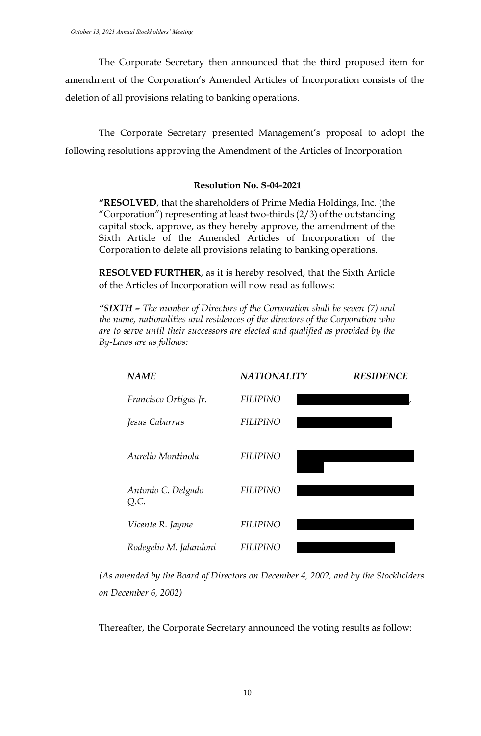The Corporate Secretary then announced that the third proposed item for amendment of the Corporation's Amended Articles of Incorporation consists of the deletion of all provisions relating to banking operations.

The Corporate Secretary presented Management's proposal to adopt the following resolutions approving the Amendment of the Articles of Incorporation

# **Resolution No. S-04-2021**

**"RESOLVED**, that the shareholders of Prime Media Holdings, Inc. (the "Corporation") representing at least two-thirds (2/3) of the outstanding capital stock, approve, as they hereby approve, the amendment of the Sixth Article of the Amended Articles of Incorporation of the Corporation to delete all provisions relating to banking operations.

**RESOLVED FURTHER**, as it is hereby resolved, that the Sixth Article of the Articles of Incorporation will now read as follows:

*"SIXTH – The number of Directors of the Corporation shall be seven (7) and the name, nationalities and residences of the directors of the Corporation who are to serve until their successors are elected and qualified as provided by the By-Laws are as follows:* 

| <b>NAME</b>                | <b>NATIONALITY</b> | <b>RESIDENCE</b> |
|----------------------------|--------------------|------------------|
| Francisco Ortigas Jr.      | <b>FILIPINO</b>    |                  |
| Jesus Cabarrus             | <b>FILIPINO</b>    |                  |
| Aurelio Montinola          | <b>FILIPINO</b>    |                  |
| Antonio C. Delgado<br>Q.C. | <b>FILIPINO</b>    |                  |
| Vicente R. Jayme           | <b>FILIPINO</b>    |                  |
| Rodegelio M. Jalandoni     | FILIPINO           |                  |

*(As amended by the Board of Directors on December 4, 2002, and by the Stockholders on December 6, 2002)*

Thereafter, the Corporate Secretary announced the voting results as follow: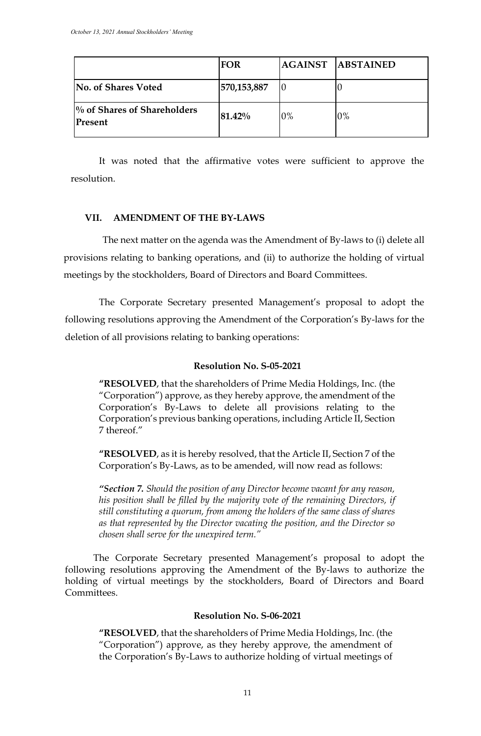|                                           | <b>FOR</b>  |    | AGAINST ABSTAINED |
|-------------------------------------------|-------------|----|-------------------|
| No. of Shares Voted                       | 570,153,887 | IO | IO                |
| $\%$ of Shares of Shareholders<br>Present | 81.42%      | 0% | 0%                |

It was noted that the affirmative votes were sufficient to approve the resolution.

#### **VII. AMENDMENT OF THE BY-LAWS**

The next matter on the agenda was the Amendment of By-laws to (i) delete all provisions relating to banking operations, and (ii) to authorize the holding of virtual meetings by the stockholders, Board of Directors and Board Committees.

The Corporate Secretary presented Management's proposal to adopt the following resolutions approving the Amendment of the Corporation's By-laws for the deletion of all provisions relating to banking operations:

#### **Resolution No. S-05-2021**

**"RESOLVED**, that the shareholders of Prime Media Holdings, Inc. (the "Corporation") approve, as they hereby approve, the amendment of the Corporation's By-Laws to delete all provisions relating to the Corporation's previous banking operations, including Article II, Section 7 thereof."

**"RESOLVED**, as it is hereby resolved, that the Article II, Section 7 of the Corporation's By-Laws, as to be amended, will now read as follows:

*"Section 7. Should the position of any Director become vacant for any reason, his position shall be filled by the majority vote of the remaining Directors, if still constituting a quorum, from among the holders of the same class of shares as that represented by the Director vacating the position, and the Director so chosen shall serve for the unexpired term."*

The Corporate Secretary presented Management's proposal to adopt the following resolutions approving the Amendment of the By-laws to authorize the holding of virtual meetings by the stockholders, Board of Directors and Board Committees.

#### **Resolution No. S-06-2021**

**"RESOLVED**, that the shareholders of Prime Media Holdings, Inc. (the "Corporation") approve, as they hereby approve, the amendment of the Corporation's By-Laws to authorize holding of virtual meetings of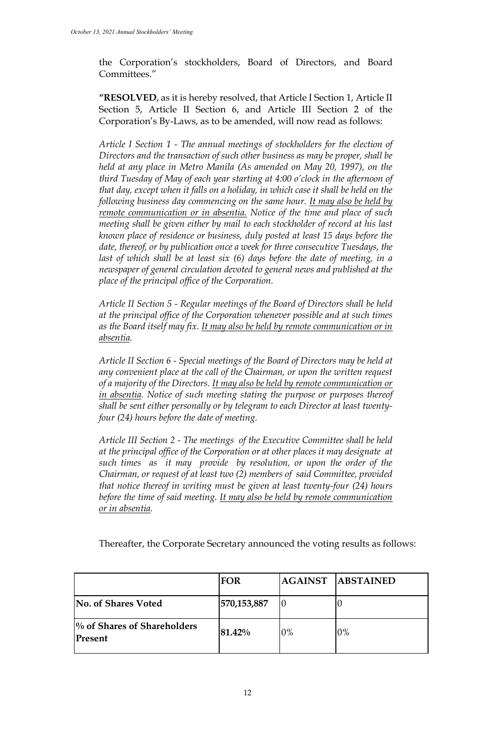the Corporation's stockholders, Board of Directors, and Board Committees."

**"RESOLVED**, as it is hereby resolved, that Article I Section 1, Article II Section 5, Article II Section 6, and Article III Section 2 of the Corporation's By-Laws, as to be amended, will now read as follows:

*Article I Section 1 - The annual meetings of stockholders for the election of Directors and the transaction of such other business as may be proper, shall be held at any place in Metro Manila (As amended on May 20, 1997), on the third Tuesday of May of each year starting at 4:00 o'clock in the afternoon of that day, except when it falls on a holiday, in which case it shall be held on the following business day commencing on the same hour. It may also be held by remote communication or in absentia. Notice of the time and place of such meeting shall be given either by mail to each stockholder of record at his last known place of residence or business, duly posted at least 15 days before the date, thereof, or by publication once a week for three consecutive Tuesdays, the*  last of which shall be at least six (6) days before the date of meeting, in a *newspaper of general circulation devoted to general news and published at the place of the principal office of the Corporation.* 

*Article II Section 5 - Regular meetings of the Board of Directors shall be held at the principal office of the Corporation whenever possible and at such times as the Board itself may fix. It may also be held by remote communication or in absentia.*

*Article II Section 6 - Special meetings of the Board of Directors may be held at any convenient place at the call of the Chairman, or upon the written request of a majority of the Directors. It may also be held by remote communication or in absentia. Notice of such meeting stating the purpose or purposes thereof shall be sent either personally or by telegram to each Director at least twentyfour (24) hours before the date of meeting.*

*Article III Section 2 - The meetings of the Executive Committee shall be held at the principal office of the Corporation or at other places it may designate at such times as it may provide by resolution, or upon the order of the Chairman, or request of at least two (2) members of said Committee, provided that notice thereof in writing must be given at least twenty-four (24) hours before the time of said meeting. It may also be held by remote communication or in absentia.*

Thereafter, the Corporate Secretary announced the voting results as follows:

|                                        | <b>FOR</b>  |       | <b>AGAINST ABSTAINED</b> |
|----------------------------------------|-------------|-------|--------------------------|
| No. of Shares Voted                    | 570,153,887 |       |                          |
| % of Shares of Shareholders<br>Present | 81.42%      | $0\%$ | 0%                       |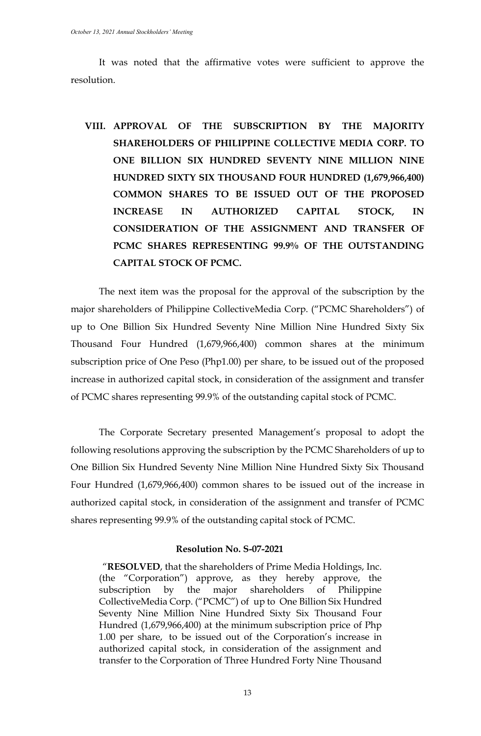It was noted that the affirmative votes were sufficient to approve the resolution.

**VIII. APPROVAL OF THE SUBSCRIPTION BY THE MAJORITY SHAREHOLDERS OF PHILIPPINE COLLECTIVE MEDIA CORP. TO ONE BILLION SIX HUNDRED SEVENTY NINE MILLION NINE HUNDRED SIXTY SIX THOUSAND FOUR HUNDRED (1,679,966,400) COMMON SHARES TO BE ISSUED OUT OF THE PROPOSED INCREASE IN AUTHORIZED CAPITAL STOCK, IN CONSIDERATION OF THE ASSIGNMENT AND TRANSFER OF PCMC SHARES REPRESENTING 99.9% OF THE OUTSTANDING CAPITAL STOCK OF PCMC.**

The next item was the proposal for the approval of the subscription by the major shareholders of Philippine CollectiveMedia Corp. ("PCMC Shareholders") of up to One Billion Six Hundred Seventy Nine Million Nine Hundred Sixty Six Thousand Four Hundred (1,679,966,400) common shares at the minimum subscription price of One Peso (Php1.00) per share, to be issued out of the proposed increase in authorized capital stock, in consideration of the assignment and transfer of PCMC shares representing 99.9% of the outstanding capital stock of PCMC.

The Corporate Secretary presented Management's proposal to adopt the following resolutions approving the subscription by the PCMC Shareholders of up to One Billion Six Hundred Seventy Nine Million Nine Hundred Sixty Six Thousand Four Hundred (1,679,966,400) common shares to be issued out of the increase in authorized capital stock, in consideration of the assignment and transfer of PCMC shares representing 99.9% of the outstanding capital stock of PCMC.

#### **Resolution No. S-07-2021**

"**RESOLVED**, that the shareholders of Prime Media Holdings, Inc. (the "Corporation") approve, as they hereby approve, the subscription by the major shareholders of Philippine CollectiveMedia Corp. ("PCMC") of up to One Billion Six Hundred Seventy Nine Million Nine Hundred Sixty Six Thousand Four Hundred (1,679,966,400) at the minimum subscription price of Php 1.00 per share, to be issued out of the Corporation's increase in authorized capital stock, in consideration of the assignment and transfer to the Corporation of Three Hundred Forty Nine Thousand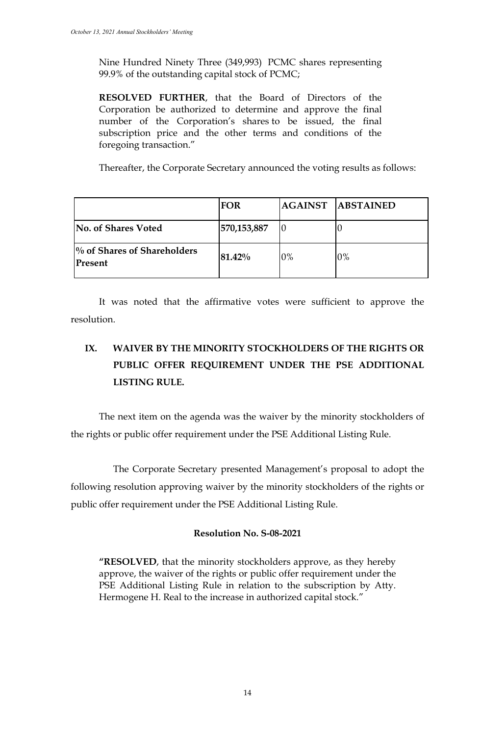Nine Hundred Ninety Three (349,993) PCMC shares representing 99.9% of the outstanding capital stock of PCMC;

**RESOLVED FURTHER**, that the Board of Directors of the Corporation be authorized to determine and approve the final number of the Corporation's shares to be issued, the final subscription price and the other terms and conditions of the foregoing transaction."

Thereafter, the Corporate Secretary announced the voting results as follows:

|                                           | <b>FOR</b>  |    | <b>AGAINST ABSTAINED</b> |
|-------------------------------------------|-------------|----|--------------------------|
| No. of Shares Voted                       | 570,153,887 |    |                          |
| $\%$ of Shares of Shareholders<br>Present | 81.42%      | 0% | 0%                       |

It was noted that the affirmative votes were sufficient to approve the resolution.

# **IX. WAIVER BY THE MINORITY STOCKHOLDERS OF THE RIGHTS OR PUBLIC OFFER REQUIREMENT UNDER THE PSE ADDITIONAL LISTING RULE.**

The next item on the agenda was the waiver by the minority stockholders of the rights or public offer requirement under the PSE Additional Listing Rule.

The Corporate Secretary presented Management's proposal to adopt the following resolution approving waiver by the minority stockholders of the rights or public offer requirement under the PSE Additional Listing Rule.

# **Resolution No. S-08-2021**

**"RESOLVED**, that the minority stockholders approve, as they hereby approve, the waiver of the rights or public offer requirement under the PSE Additional Listing Rule in relation to the subscription by Atty. Hermogene H. Real to the increase in authorized capital stock."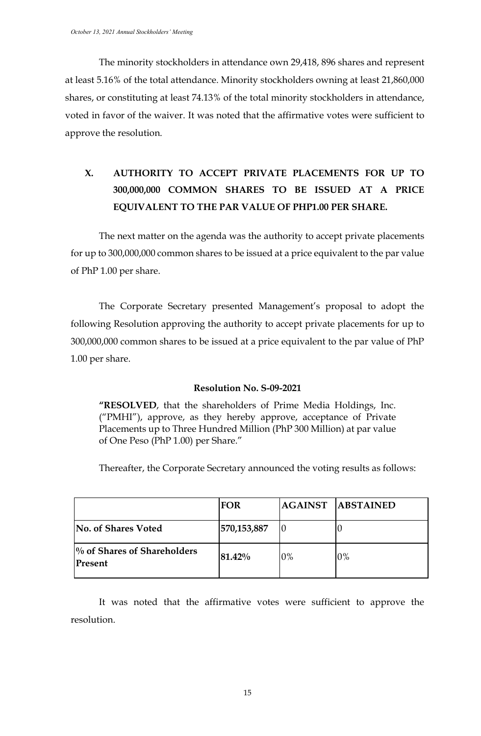The minority stockholders in attendance own 29,418, 896 shares and represent at least 5.16% of the total attendance. Minority stockholders owning at least 21,860,000 shares, or constituting at least 74.13% of the total minority stockholders in attendance, voted in favor of the waiver. It was noted that the affirmative votes were sufficient to approve the resolution.

# **X. AUTHORITY TO ACCEPT PRIVATE PLACEMENTS FOR UP TO 300,000,000 COMMON SHARES TO BE ISSUED AT A PRICE EQUIVALENT TO THE PAR VALUE OF PHP1.00 PER SHARE.**

The next matter on the agenda was the authority to accept private placements for up to 300,000,000 common shares to be issued at a price equivalent to the par value of PhP 1.00 per share.

The Corporate Secretary presented Management's proposal to adopt the following Resolution approving the authority to accept private placements for up to 300,000,000 common shares to be issued at a price equivalent to the par value of PhP 1.00 per share.

# **Resolution No. S-09-2021**

**"RESOLVED**, that the shareholders of Prime Media Holdings, Inc. ("PMHI"), approve, as they hereby approve, acceptance of Private Placements up to Three Hundred Million (PhP 300 Million) at par value of One Peso (PhP 1.00) per Share."

Thereafter, the Corporate Secretary announced the voting results as follows:

|                                                     | <b>FOR</b>  |       | <b>AGAINST ABSTAINED</b> |
|-----------------------------------------------------|-------------|-------|--------------------------|
| <b>No. of Shares Voted</b>                          | 570,153,887 |       |                          |
| <sup>[%</sup> of Shares of Shareholders]<br>Present | 81.42%      | $0\%$ | 0%                       |

It was noted that the affirmative votes were sufficient to approve the resolution.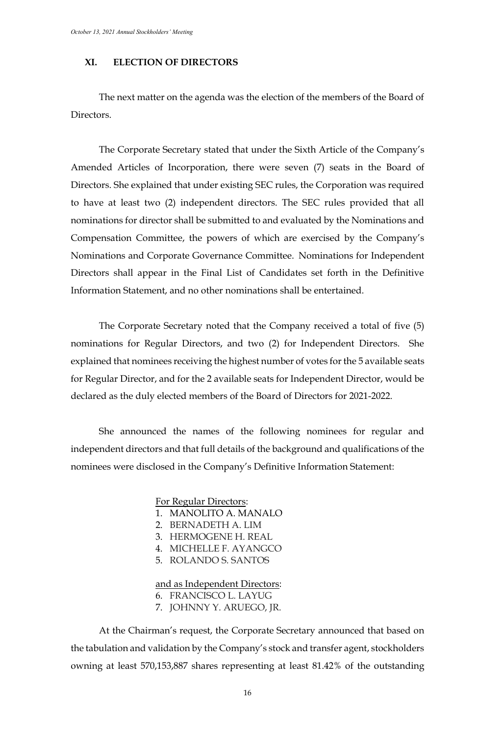# **XI. ELECTION OF DIRECTORS**

The next matter on the agenda was the election of the members of the Board of Directors.

The Corporate Secretary stated that under the Sixth Article of the Company's Amended Articles of Incorporation, there were seven (7) seats in the Board of Directors. She explained that under existing SEC rules, the Corporation was required to have at least two (2) independent directors. The SEC rules provided that all nominations for director shall be submitted to and evaluated by the Nominations and Compensation Committee, the powers of which are exercised by the Company's Nominations and Corporate Governance Committee. Nominations for Independent Directors shall appear in the Final List of Candidates set forth in the Definitive Information Statement, and no other nominations shall be entertained.

The Corporate Secretary noted that the Company received a total of five (5) nominations for Regular Directors, and two (2) for Independent Directors. She explained that nominees receiving the highest number of votes for the 5 available seats for Regular Director, and for the 2 available seats for Independent Director, would be declared as the duly elected members of the Board of Directors for 2021-2022.

She announced the names of the following nominees for regular and independent directors and that full details of the background and qualifications of the nominees were disclosed in the Company's Definitive Information Statement:

#### For Regular Directors:

- 1. MANOLITO A. MANALO
- 2. BERNADETH A. LIM
- 3. HERMOGENE H. REAL
- 4. MICHELLE F. AYANGCO
- 5. ROLANDO S. SANTOS

#### and as Independent Directors:

- 6. FRANCISCO L. LAYUG
- 7. JOHNNY Y. ARUEGO, JR.

At the Chairman's request, the Corporate Secretary announced that based on the tabulation and validation by the Company's stock and transfer agent, stockholders owning at least 570,153,887 shares representing at least 81.42% of the outstanding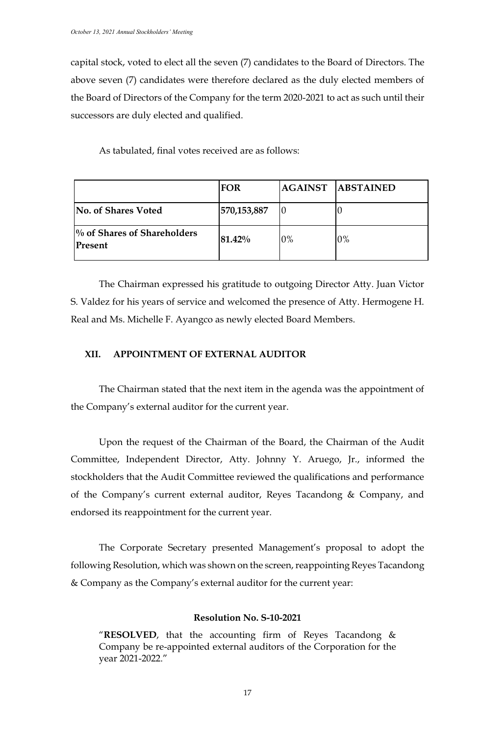capital stock, voted to elect all the seven (7) candidates to the Board of Directors. The above seven (7) candidates were therefore declared as the duly elected members of the Board of Directors of the Company for the term 2020-2021 to act as such until their successors are duly elected and qualified.

As tabulated, final votes received are as follows:

|                                        | <b>FOR</b>  |    | <b>AGAINST ABSTAINED</b> |
|----------------------------------------|-------------|----|--------------------------|
| No. of Shares Voted                    | 570,153,887 |    |                          |
| % of Shares of Shareholders<br>Present | 81.42%      | 0% | 0%                       |

The Chairman expressed his gratitude to outgoing Director Atty. Juan Victor S. Valdez for his years of service and welcomed the presence of Atty. Hermogene H. Real and Ms. Michelle F. Ayangco as newly elected Board Members.

# **XII. APPOINTMENT OF EXTERNAL AUDITOR**

The Chairman stated that the next item in the agenda was the appointment of the Company's external auditor for the current year.

Upon the request of the Chairman of the Board, the Chairman of the Audit Committee, Independent Director, Atty. Johnny Y. Aruego, Jr., informed the stockholders that the Audit Committee reviewed the qualifications and performance of the Company's current external auditor, Reyes Tacandong & Company, and endorsed its reappointment for the current year.

The Corporate Secretary presented Management's proposal to adopt the following Resolution, which was shown on the screen, reappointing Reyes Tacandong & Company as the Company's external auditor for the current year:

#### **Resolution No. S-10-2021**

"**RESOLVED**, that the accounting firm of Reyes Tacandong  $\&$ Company be re-appointed external auditors of the Corporation for the year 2021-2022."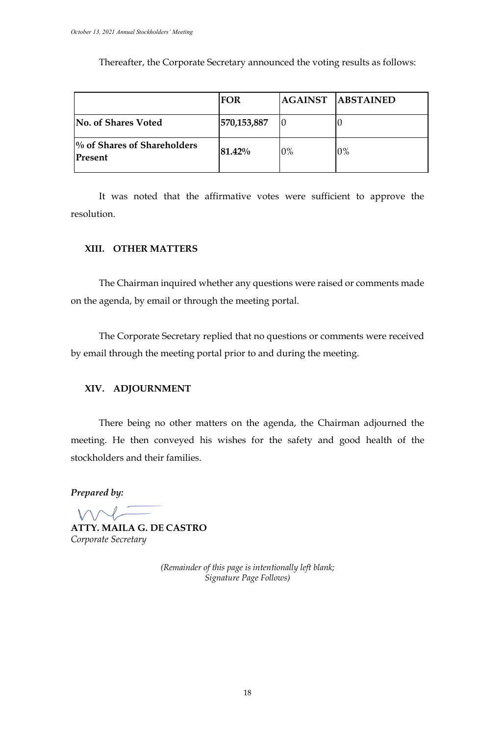|                                        | FOR         |    | <b>AGAINST ABSTAINED</b> |
|----------------------------------------|-------------|----|--------------------------|
| <b>No. of Shares Voted</b>             | 570,153,887 |    |                          |
| % of Shares of Shareholders<br>Present | 81.42%      | 0% | $0\%$                    |

Thereafter, the Corporate Secretary announced the voting results as follows:

It was noted that the affirmative votes were sufficient to approve the resolution.

# **XIII. OTHER MATTERS**

The Chairman inquired whether any questions were raised or comments made on the agenda, by email or through the meeting portal.

The Corporate Secretary replied that no questions or comments were received by email through the meeting portal prior to and during the meeting.

## **XIV. ADJOURNMENT**

There being no other matters on the agenda, the Chairman adjourned the meeting. He then conveyed his wishes for the safety and good health of the stockholders and their families.

*Prepared by:*

**ATTY. MAILA G. DE CASTRO** *Corporate Secretary*

*(Remainder of this page is intentionally left blank; Signature Page Follows)*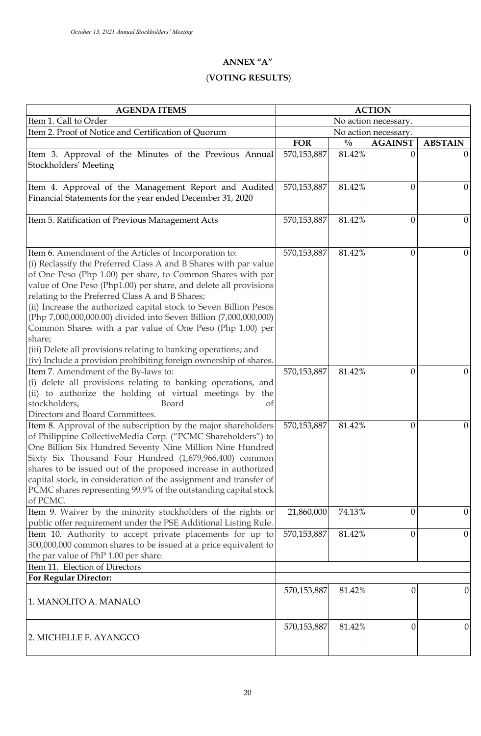## **ANNEX "A"**

# (**VOTING RESULTS**)

| <b>AGENDA ITEMS</b>                                                                                                                                                                                                                                                                                                                                                                                                                                                                                                                                                                                                                                                       | <b>ACTION</b>        |               |                  |                  |
|---------------------------------------------------------------------------------------------------------------------------------------------------------------------------------------------------------------------------------------------------------------------------------------------------------------------------------------------------------------------------------------------------------------------------------------------------------------------------------------------------------------------------------------------------------------------------------------------------------------------------------------------------------------------------|----------------------|---------------|------------------|------------------|
| Item 1. Call to Order                                                                                                                                                                                                                                                                                                                                                                                                                                                                                                                                                                                                                                                     | No action necessary. |               |                  |                  |
| Item 2. Proof of Notice and Certification of Quorum                                                                                                                                                                                                                                                                                                                                                                                                                                                                                                                                                                                                                       | No action necessary. |               |                  |                  |
|                                                                                                                                                                                                                                                                                                                                                                                                                                                                                                                                                                                                                                                                           | <b>FOR</b>           | $\frac{0}{0}$ | <b>AGAINST</b>   | <b>ABSTAIN</b>   |
| Item 3. Approval of the Minutes of the Previous Annual<br>Stockholders' Meeting                                                                                                                                                                                                                                                                                                                                                                                                                                                                                                                                                                                           | 570,153,887          | 81.42%        | 0                |                  |
| Item 4. Approval of the Management Report and Audited<br>Financial Statements for the year ended December 31, 2020                                                                                                                                                                                                                                                                                                                                                                                                                                                                                                                                                        | 570,153,887          | 81.42%        | 0                | $\boldsymbol{0}$ |
| Item 5. Ratification of Previous Management Acts                                                                                                                                                                                                                                                                                                                                                                                                                                                                                                                                                                                                                          | 570,153,887          | 81.42%        | 0                | $\boldsymbol{0}$ |
| Item 6. Amendment of the Articles of Incorporation to:<br>(i) Reclassify the Preferred Class A and B Shares with par value<br>of One Peso (Php 1.00) per share, to Common Shares with par<br>value of One Peso (Php1.00) per share, and delete all provisions<br>relating to the Preferred Class A and B Shares;<br>(ii) Increase the authorized capital stock to Seven Billion Pesos<br>(Php 7,000,000,000.00) divided into Seven Billion (7,000,000,000)<br>Common Shares with a par value of One Peso (Php 1.00) per<br>share;<br>(iii) Delete all provisions relating to banking operations; and<br>(iv) Include a provision prohibiting foreign ownership of shares. | 570,153,887          | 81.42%        | 0                | $\boldsymbol{0}$ |
| Item 7. Amendment of the By-laws to:<br>(i) delete all provisions relating to banking operations, and<br>(ii) to authorize the holding of virtual meetings by the<br>stockholders,<br>Board<br>Οf<br>Directors and Board Committees.                                                                                                                                                                                                                                                                                                                                                                                                                                      | 570,153,887          | 81.42%        | 0                | 0                |
| Item 8. Approval of the subscription by the major shareholders<br>of Philippine CollectiveMedia Corp. ("PCMC Shareholders") to<br>One Billion Six Hundred Seventy Nine Million Nine Hundred<br>Sixty Six Thousand Four Hundred (1,679,966,400) common<br>shares to be issued out of the proposed increase in authorized<br>capital stock, in consideration of the assignment and transfer of<br>PCMC shares representing 99.9% of the outstanding capital stock<br>of PCMC.                                                                                                                                                                                               | 570,153,887          | 81.42%        | 0                | $\boldsymbol{0}$ |
| Item 9. Waiver by the minority stockholders of the rights or<br>public offer requirement under the PSE Additional Listing Rule.                                                                                                                                                                                                                                                                                                                                                                                                                                                                                                                                           | 21,860,000           | 74.13%        | $\boldsymbol{0}$ | $\boldsymbol{0}$ |
| Item 10. Authority to accept private placements for up to<br>300,000,000 common shares to be issued at a price equivalent to<br>the par value of PhP 1.00 per share.                                                                                                                                                                                                                                                                                                                                                                                                                                                                                                      | 570,153,887          | 81.42%        | $\boldsymbol{0}$ | $\boldsymbol{0}$ |
| Item 11. Election of Directors                                                                                                                                                                                                                                                                                                                                                                                                                                                                                                                                                                                                                                            |                      |               |                  |                  |
| <b>For Regular Director:</b><br>1. MANOLITO A. MANALO                                                                                                                                                                                                                                                                                                                                                                                                                                                                                                                                                                                                                     | 570,153,887          | 81.42%        | 0                | $\boldsymbol{0}$ |
| 2. MICHELLE F. AYANGCO                                                                                                                                                                                                                                                                                                                                                                                                                                                                                                                                                                                                                                                    | 570,153,887          | 81.42%        | 0                | $\boldsymbol{0}$ |